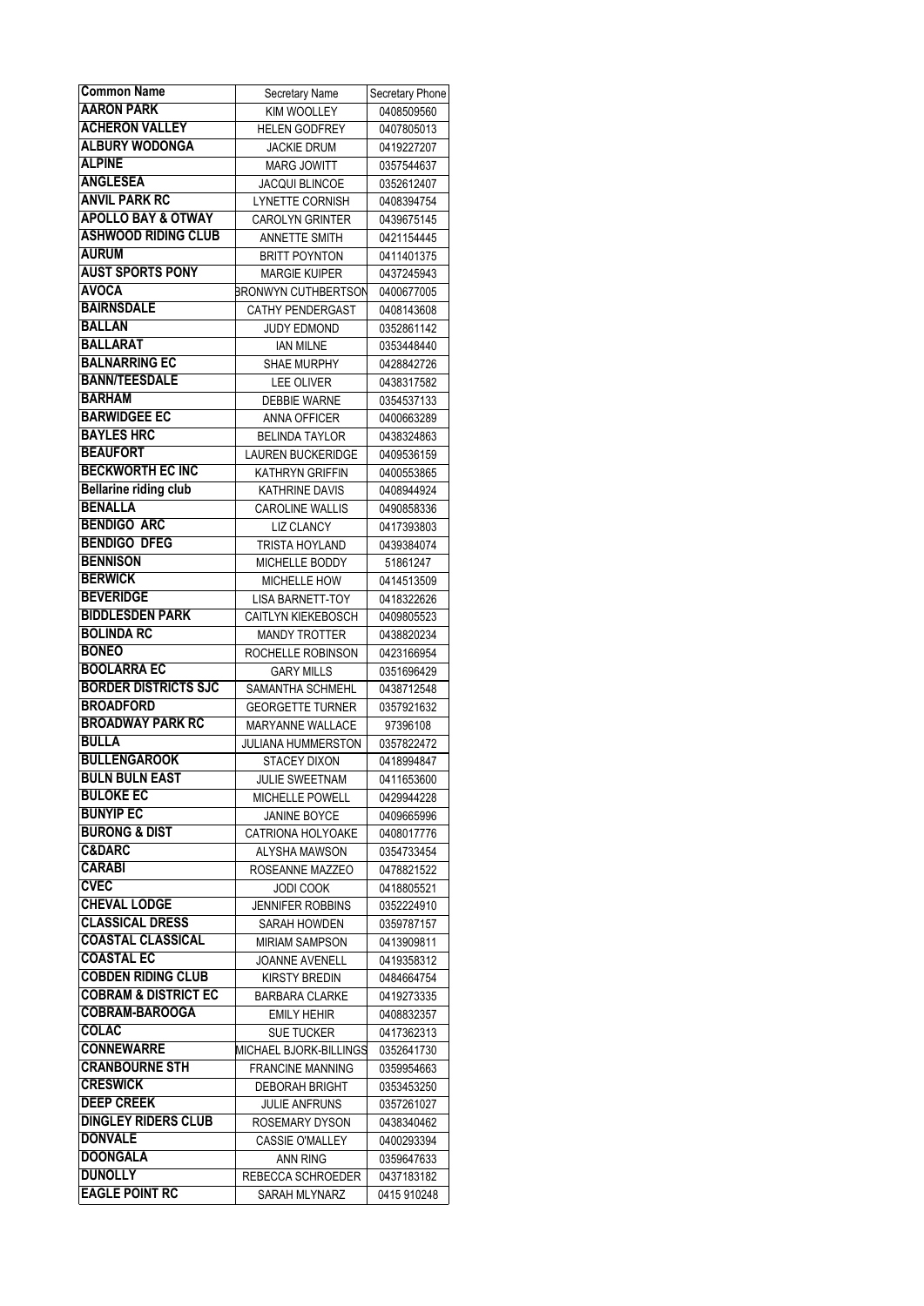| <b>Common Name</b>                       | Secretary Name            | Secretary Phone |
|------------------------------------------|---------------------------|-----------------|
| <b>AARON PARK</b>                        | <b>KIM WOOLLEY</b>        | 0408509560      |
| <b>ACHERON VALLEY</b>                    | <b>HELEN GODFREY</b>      | 0407805013      |
| <b>ALBURY WODONGA</b>                    | <b>JACKIE DRUM</b>        | 0419227207      |
| <b>ALPINE</b>                            | <b>MARG JOWITT</b>        | 0357544637      |
| <b>ANGLESEA</b>                          | <b>JACQUI BLINCOE</b>     | 0352612407      |
| <b>ANVIL PARK RC</b>                     | LYNETTE CORNISH           | 0408394754      |
| <b>APOLLO BAY &amp; OTWAY</b>            | <b>CAROLYN GRINTER</b>    | 0439675145      |
| <b>ASHWOOD RIDING CLUB</b>               | <b>ANNETTE SMITH</b>      | 0421154445      |
| <b>AURUM</b>                             | <b>BRITT POYNTON</b>      | 0411401375      |
| <b>AUST SPORTS PONY</b>                  | <b>MARGIE KUIPER</b>      | 0437245943      |
| <b>AVOCA</b>                             | BRONWYN CUTHBERTSON       | 0400677005      |
| <b>BAIRNSDALE</b>                        | <b>CATHY PENDERGAST</b>   | 0408143608      |
| <b>BALLAN</b>                            | <b>JUDY EDMOND</b>        | 0352861142      |
| <b>BALLARAT</b>                          | <b>IAN MILNE</b>          | 0353448440      |
| <b>BALNARRING EC</b>                     | <b>SHAE MURPHY</b>        |                 |
| <b>BANN/TEESDALE</b>                     |                           | 0428842726      |
| <b>BARHAM</b>                            | <b>LEE OLIVER</b>         | 0438317582      |
|                                          | <b>DEBBIE WARNE</b>       | 0354537133      |
| <b>BARWIDGEE EC</b><br><b>BAYLES HRC</b> | ANNA OFFICER              | 0400663289      |
| <b>BEAUFORT</b>                          | BELINDA TAYLOR            | 0438324863      |
|                                          | <b>LAUREN BUCKERIDGE</b>  | 0409536159      |
| <b>BECKWORTH EC INC</b>                  | KATHRYN GRIFFIN           | 0400553865      |
| <b>Bellarine riding club</b>             | <b>KATHRINE DAVIS</b>     | 0408944924      |
| <b>BENALLA</b>                           | <b>CAROLINE WALLIS</b>    | 0490858336      |
| <b>BENDIGO ARC</b>                       | <b>LIZ CLANCY</b>         | 0417393803      |
| <b>BENDIGO DFEG</b>                      | TRISTA HOYLAND            | 0439384074      |
| <b>BENNISON</b>                          | MICHELLE BODDY            | 51861247        |
| <b>BERWICK</b>                           | MICHELLE HOW              | 0414513509      |
| <b>BEVERIDGE</b>                         | <b>LISA BARNETT-TOY</b>   | 0418322626      |
| <b>BIDDLESDEN PARK</b>                   | <b>CAITLYN KIEKEBOSCH</b> | 0409805523      |
| <b>BOLINDA RC</b>                        | <b>MANDY TROTTER</b>      | 0438820234      |
| <b>BONEO</b>                             | ROCHELLE ROBINSON         | 0423166954      |
| <b>BOOLARRA EC</b>                       | <b>GARY MILLS</b>         | 0351696429      |
| <b>BORDER DISTRICTS SJC</b>              | SAMANTHA SCHMEHL          | 0438712548      |
| <b>BROADFORD</b>                         | <b>GEORGETTE TURNER</b>   | 0357921632      |
| <b>BROADWAY PARK RC</b>                  | MARYANNE WALLACE          | 97396108        |
| <b>BULLA</b>                             | JULIANA HUMMERSTON        | 0357822472      |
| <b>BULLENGAROOK</b>                      | STACEY DIXON              | 0418994847      |
| <b>BULN BULN EAST</b>                    | JULIE SWEETNAM            | 0411653600      |
| <b>BULOKE EC</b>                         | MICHELLE POWELL           | 0429944228      |
| <b>BUNYIP EC</b>                         | <b>JANINE BOYCE</b>       | 0409665996      |
| <b>BURONG &amp; DIST</b>                 | <b>CATRIONA HOLYOAKE</b>  | 0408017776      |
| <b>C&amp;DARC</b>                        | ALYSHA MAWSON             | 0354733454      |
| <b>CARABI</b>                            | ROSEANNE MAZZEO           | 0478821522      |
| <b>CVEC</b>                              | <b>JODI COOK</b>          | 0418805521      |
| <b>CHEVAL LODGE</b>                      | <b>JENNIFER ROBBINS</b>   | 0352224910      |
| <b>CLASSICAL DRESS</b>                   | SARAH HOWDEN              | 0359787157      |
| <b>COASTAL CLASSICAL</b>                 | <b>MIRIAM SAMPSON</b>     | 0413909811      |
| <b>COASTAL EC</b>                        | <b>JOANNE AVENELL</b>     | 0419358312      |
| <b>COBDEN RIDING CLUB</b>                | KIRSTY BREDIN             | 0484664754      |
| <b>COBRAM &amp; DISTRICT EC</b>          | <b>BARBARA CLARKE</b>     | 0419273335      |
| <b>COBRAM-BAROOGA</b>                    | <b>EMILY HEHIR</b>        | 0408832357      |
| COLAC                                    | <b>SUE TUCKER</b>         | 0417362313      |
| <b>CONNEWARRE</b>                        | MICHAEL BJORK-BILLINGS    | 0352641730      |
| <b>CRANBOURNE STH</b>                    | <b>FRANCINE MANNING</b>   | 0359954663      |
| <b>CRESWICK</b>                          |                           |                 |
| <b>DEEP CREEK</b>                        | <b>DEBORAH BRIGHT</b>     | 0353453250      |
| <b>DINGLEY RIDERS CLUB</b>               | <b>JULIE ANFRUNS</b>      | 0357261027      |
| <b>DONVALE</b>                           | ROSEMARY DYSON            | 0438340462      |
| <b>DOONGALA</b>                          | <b>CASSIE O'MALLEY</b>    | 0400293394      |
|                                          | ANN RING                  | 0359647633      |
| <b>DUNOLLY</b>                           | REBECCA SCHROEDER         | 0437183182      |
| <b>EAGLE POINT RC</b>                    | SARAH MLYNARZ             | 0415 910248     |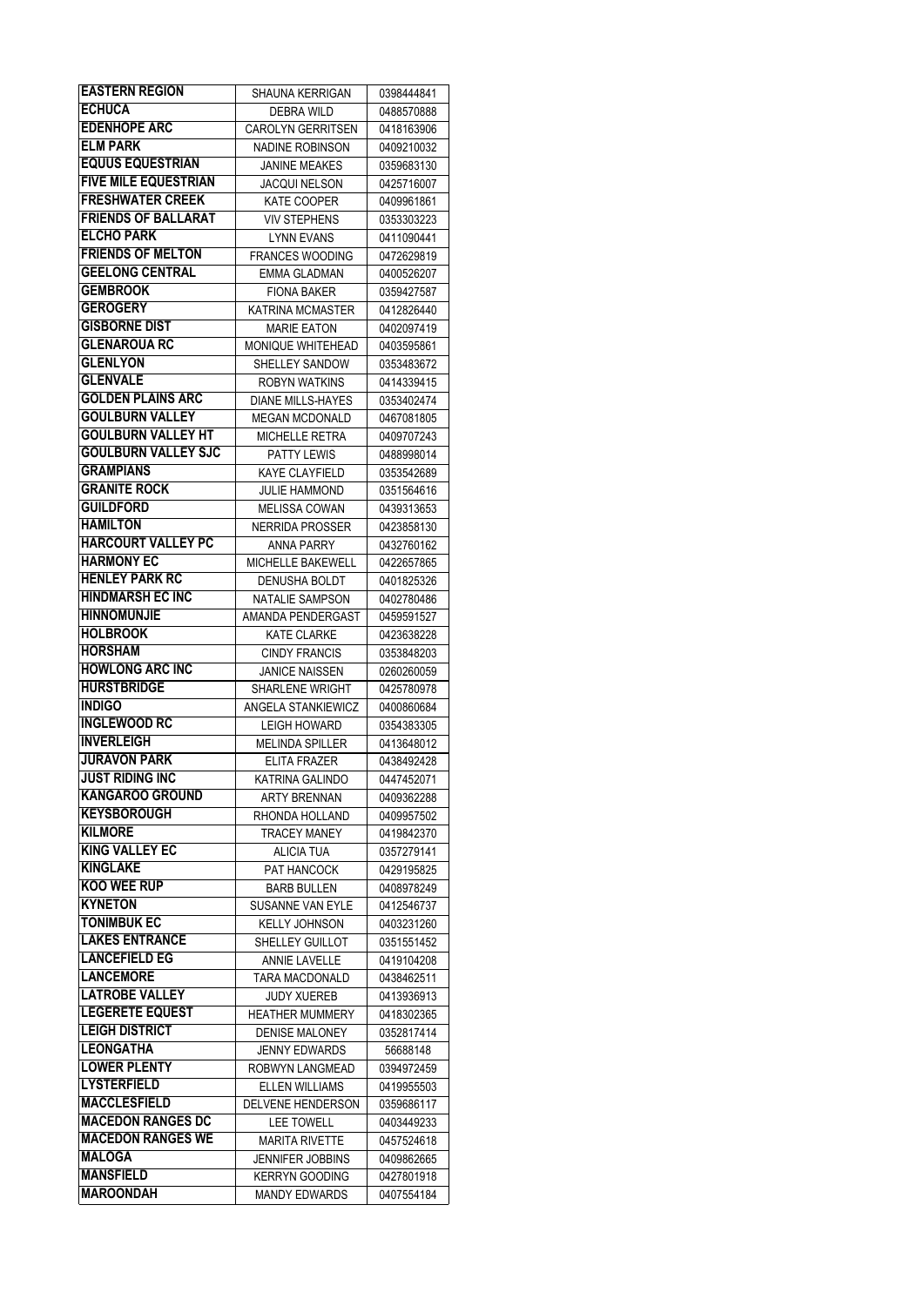| <b>EASTERN REGION</b>                | SHAUNA KERRIGAN                               | 0398444841               |
|--------------------------------------|-----------------------------------------------|--------------------------|
| <b>ECHUCA</b>                        | <b>DEBRA WILD</b>                             | 0488570888               |
| <b>EDENHOPE ARC</b>                  | <b>CAROLYN GERRITSEN</b>                      | 0418163906               |
| <b>ELM PARK</b>                      | NADINE ROBINSON                               | 0409210032               |
| <b>EQUUS EQUESTRIAN</b>              | <b>JANINE MEAKES</b>                          | 0359683130               |
| <b>FIVE MILE EQUESTRIAN</b>          | <b>JACQUI NELSON</b>                          | 0425716007               |
| <b>FRESHWATER CREEK</b>              | <b>KATE COOPER</b>                            | 0409961861               |
| <b>FRIENDS OF BALLARAT</b>           | <b>VIV STEPHENS</b>                           | 0353303223               |
| <b>ELCHO PARK</b>                    | <b>LYNN EVANS</b>                             | 0411090441               |
| <b>FRIENDS OF MELTON</b>             | <b>FRANCES WOODING</b>                        | 0472629819               |
| <b>GEELONG CENTRAL</b>               | <b>EMMA GLADMAN</b>                           | 0400526207               |
| <b>GEMBROOK</b>                      | <b>FIONA BAKER</b>                            | 0359427587               |
| <b>GEROGERY</b>                      | <b>KATRINA MCMASTER</b>                       | 0412826440               |
| <b>GISBORNE DIST</b>                 | <b>MARIE EATON</b>                            | 0402097419               |
| <b>GLENAROUA RC</b>                  | MONIQUE WHITEHEAD                             |                          |
| <b>GLENLYON</b>                      | SHELLEY SANDOW                                | 0403595861               |
| <b>GLENVALE</b>                      |                                               | 0353483672               |
| <b>GOLDEN PLAINS ARC</b>             | ROBYN WATKINS                                 | 0414339415               |
| <b>GOULBURN VALLEY</b>               | <b>DIANE MILLS-HAYES</b>                      | 0353402474               |
|                                      | <b>MEGAN MCDONALD</b>                         | 0467081805               |
| <b>GOULBURN VALLEY HT</b>            | MICHELLE RETRA                                | 0409707243               |
| <b>GOULBURN VALLEY SJC</b>           | <b>PATTY LEWIS</b>                            | 0488998014               |
| <b>GRAMPIANS</b>                     | KAYE CLAYFIELD                                | 0353542689               |
| <b>GRANITE ROCK</b>                  | JULIE HAMMOND                                 | 0351564616               |
| <b>GUILDFORD</b>                     | <b>MELISSA COWAN</b>                          | 0439313653               |
| <b>HAMILTON</b>                      | <b>NERRIDA PROSSER</b>                        | 0423858130               |
| <b>HARCOURT VALLEY PC</b>            | ANNA PARRY                                    | 0432760162               |
| <b>HARMONY EC</b>                    | MICHELLE BAKEWELL                             | 0422657865               |
| <b>HENLEY PARK RC</b>                | DENUSHA BOLDT                                 | 0401825326               |
| <b>HINDMARSH EC INC</b>              | NATALIE SAMPSON                               | 0402780486               |
| <b>HINNOMUNJIE</b>                   | AMANDA PENDERGAST                             | 0459591527               |
| <b>HOLBROOK</b>                      | <b>KATE CLARKE</b>                            | 0423638228               |
| <b>HORSHAM</b>                       | <b>CINDY FRANCIS</b>                          | 0353848203               |
| <b>HOWLONG ARC INC</b>               | <b>JANICE NAISSEN</b>                         | 0260260059               |
| <b>HURSTBRIDGE</b>                   | <b>SHARLENE WRIGHT</b>                        | 0425780978               |
| <b>INDIGO</b>                        | ANGELA STANKIEWICZ                            | 0400860684               |
| <b>INGLEWOOD RC</b>                  | LEIGH HOWARD                                  | 0354383305               |
| <b>INVERLEIGH</b>                    | <b>MELINDA SPILLER</b>                        | 0413648012               |
| <b>JURAVON PARK</b>                  | ELITA FRAZER                                  | 0438492428               |
| <b>JUST RIDING INC</b>               | KATRINA GALINDO                               | 0447452071               |
| <b>KANGAROO GROUND</b>               | ARTY BRENNAN                                  | 0409362288               |
| <b>KEYSBOROUGH</b>                   | RHONDA HOLLAND                                | 0409957502               |
| <b>KILMORE</b>                       | <b>TRACEY MANEY</b>                           | 0419842370               |
| <b>KING VALLEY EC</b>                | <b>ALICIA TUA</b>                             | 0357279141               |
| <b>KINGLAKE</b>                      | PAT HANCOCK                                   | 0429195825               |
| <b>KOO WEE RUP</b>                   | <b>BARB BULLEN</b>                            | 0408978249               |
| <b>KYNETON</b>                       | SUSANNE VAN EYLE                              | 0412546737               |
| <b>TONIMBUK EC</b>                   | KELLY JOHNSON                                 | 0403231260               |
| <b>LAKES ENTRANCE</b>                | SHELLEY GUILLOT                               | 0351551452               |
| <b>LANCEFIELD EG</b>                 | ANNIE LAVELLE                                 | 0419104208               |
| <b>LANCEMORE</b>                     | <b>TARA MACDONALD</b>                         | 0438462511               |
| <b>LATROBE VALLEY</b>                | JUDY XUEREB                                   | 0413936913               |
| <b>LEGERETE EQUEST</b>               | <b>HEATHER MUMMERY</b>                        | 0418302365               |
| <b>LEIGH DISTRICT</b>                | <b>DENISE MALONEY</b>                         | 0352817414               |
| <b>LEONGATHA</b>                     | JENNY EDWARDS                                 | 56688148                 |
| <b>LOWER PLENTY</b>                  | ROBWYN LANGMEAD                               | 0394972459               |
| <b>LYSTERFIELD</b>                   |                                               |                          |
| <b>MACCLESFIELD</b>                  | <b>ELLEN WILLIAMS</b>                         | 0419955503               |
| <b>MACEDON RANGES DC</b>             | DELVENE HENDERSON                             | 0359686117               |
| <b>MACEDON RANGES WE</b>             | <b>LEE TOWELL</b>                             | 0403449233               |
| <b>MALOGA</b>                        | <b>MARITA RIVETTE</b>                         | 0457524618               |
|                                      |                                               |                          |
|                                      | JENNIFER JOBBINS                              | 0409862665               |
| <b>MANSFIELD</b><br><b>MAROONDAH</b> | <b>KERRYN GOODING</b><br><b>MANDY EDWARDS</b> | 0427801918<br>0407554184 |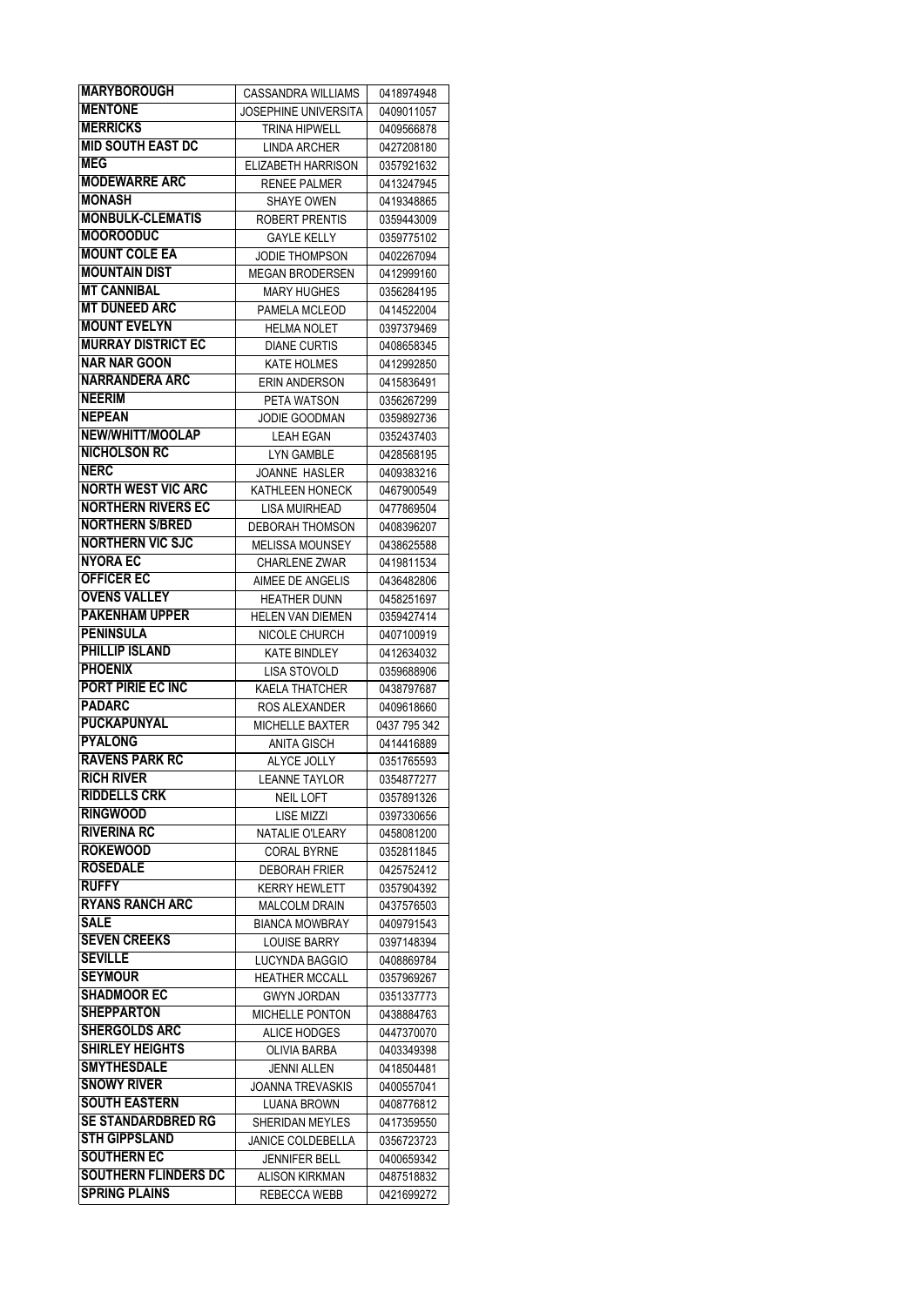| <b>MARYBOROUGH</b>          | CASSANDRA WILLIAMS          | 0418974948   |
|-----------------------------|-----------------------------|--------------|
| <b>MENTONE</b>              | <b>JOSEPHINE UNIVERSITA</b> | 0409011057   |
| <b>MERRICKS</b>             | <b>TRINA HIPWELL</b>        | 0409566878   |
| <b>MID SOUTH EAST DC</b>    | <b>LINDA ARCHER</b>         | 0427208180   |
| <b>MEG</b>                  | <b>ELIZABETH HARRISON</b>   | 0357921632   |
| <b>MODEWARRE ARC</b>        | <b>RENEE PALMER</b>         | 0413247945   |
| <b>MONASH</b>               | <b>SHAYE OWEN</b>           | 0419348865   |
| <b>MONBULK-CLEMATIS</b>     | ROBERT PRENTIS              | 0359443009   |
| <b>MOOROODUC</b>            |                             |              |
| <b>MOUNT COLE EA</b>        | <b>GAYLE KELLY</b>          | 0359775102   |
| <b>MOUNTAIN DIST</b>        | <b>JODIE THOMPSON</b>       | 0402267094   |
|                             | <b>MEGAN BRODERSEN</b>      | 0412999160   |
| <b>MT CANNIBAL</b>          | MARY HUGHES                 | 0356284195   |
| <b>MT DUNEED ARC</b>        | PAMELA MCLEOD               | 0414522004   |
| <b>MOUNT EVELYN</b>         | <b>HELMA NOLET</b>          | 0397379469   |
| <b>MURRAY DISTRICT EC</b>   | <b>DIANE CURTIS</b>         | 0408658345   |
| <b>NAR NAR GOON</b>         | <b>KATE HOLMES</b>          | 0412992850   |
| <b>NARRANDERA ARC</b>       | <b>ERIN ANDERSON</b>        | 0415836491   |
| <b>NEERIM</b>               | PETA WATSON                 | 0356267299   |
| <b>NEPEAN</b>               | JODIE GOODMAN               | 0359892736   |
| <b>NEW/WHITT/MOOLAP</b>     | <b>LEAH EGAN</b>            | 0352437403   |
| <b>NICHOLSON RC</b>         | <b>LYN GAMBLE</b>           | 0428568195   |
| <b>NERC</b>                 | JOANNE HASLER               | 0409383216   |
| <b>NORTH WEST VIC ARC</b>   | KATHLEEN HONECK             | 0467900549   |
| <b>NORTHERN RIVERS EC</b>   | LISA MUIRHEAD               | 0477869504   |
| <b>NORTHERN S/BRED</b>      | DEBORAH THOMSON             | 0408396207   |
| <b>NORTHERN VIC SJC</b>     | <b>MELISSA MOUNSEY</b>      | 0438625588   |
| <b>NYORA EC</b>             |                             |              |
| <b>OFFICER EC</b>           | <b>CHARLENE ZWAR</b>        | 0419811534   |
|                             | AIMEE DE ANGELIS            | 0436482806   |
| <b>OVENS VALLEY</b>         | <b>HEATHER DUNN</b>         | 0458251697   |
| <b>PAKENHAM UPPER</b>       | <b>HELEN VAN DIEMEN</b>     | 0359427414   |
| <b>PENINSULA</b>            | NICOLE CHURCH               | 0407100919   |
|                             |                             |              |
| PHILLIP ISLAND              | <b>KATE BINDLEY</b>         | 0412634032   |
| <b>PHOENIX</b>              | LISA STOVOLD                | 0359688906   |
| PORT PIRIE EC INC           | <b>KAELA THATCHER</b>       | 0438797687   |
| <b>PADARC</b>               | ROS ALEXANDER               | 0409618660   |
| <b>PUCKAPUNYAL</b>          | <b>MICHELLE BAXTER</b>      | 0437 795 342 |
| <b>PYALONG</b>              | <b>ANITA GISCH</b>          | 0414416889   |
| <b>RAVENS PARK RC</b>       | ALYCE JOLLY                 | 0351765593   |
| <b>RICH RIVER</b>           | <b>LEANNE TAYLOR</b>        | 0354877277   |
| <b>RIDDELLS CRK</b>         | NEIL LOFT                   | 0357891326   |
| <b>RINGWOOD</b>             | LISE MIZZI                  | 0397330656   |
| <b>RIVERINA RC</b>          |                             | 0458081200   |
| <b>ROKEWOOD</b>             | NATALIE O'LEARY             | 0352811845   |
| <b>ROSEDALE</b>             | <b>CORAL BYRNE</b>          |              |
| <b>RUFFY</b>                | <b>DEBORAH FRIER</b>        | 0425752412   |
| <b>RYANS RANCH ARC</b>      | <b>KERRY HEWLETT</b>        | 0357904392   |
|                             | <b>MALCOLM DRAIN</b>        | 0437576503   |
| <b>SALE</b>                 | <b>BIANCA MOWBRAY</b>       | 0409791543   |
| <b>SEVEN CREEKS</b>         | <b>LOUISE BARRY</b>         | 0397148394   |
| <b>SEVILLE</b>              | <b>LUCYNDA BAGGIO</b>       | 0408869784   |
| <b>SEYMOUR</b>              | <b>HEATHER MCCALL</b>       | 0357969267   |
| <b>SHADMOOR EC</b>          | <b>GWYN JORDAN</b>          | 0351337773   |
| <b>SHEPPARTON</b>           | MICHELLE PONTON             | 0438884763   |
| <b>SHERGOLDS ARC</b>        | ALICE HODGES                | 0447370070   |
| <b>SHIRLEY HEIGHTS</b>      | OLIVIA BARBA                | 0403349398   |
| <b>SMYTHESDALE</b>          | <b>JENNI ALLEN</b>          | 0418504481   |
| <b>SNOWY RIVER</b>          | <b>JOANNA TREVASKIS</b>     | 0400557041   |
| <b>SOUTH EASTERN</b>        | LUANA BROWN                 | 0408776812   |
| <b>SE STANDARDBRED RG</b>   | SHERIDAN MEYLES             | 0417359550   |
| <b>STH GIPPSLAND</b>        | <b>JANICE COLDEBELLA</b>    | 0356723723   |
| <b>SOUTHERN EC</b>          | <b>JENNIFER BELL</b>        | 0400659342   |
| <b>SOUTHERN FLINDERS DC</b> | ALISON KIRKMAN              | 0487518832   |